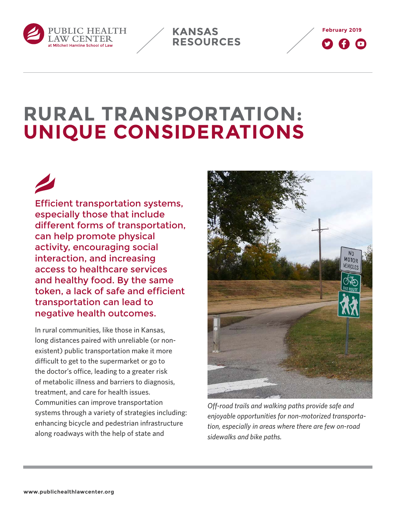





# **RURAL TRANSPORTATION: UNIQUE CONSIDERATIONS**

Efficient transportation systems, especially those that include different forms of transportation, can help promote physical activity, encouraging social interaction, and increasing access to healthcare services and healthy food. By the same token, a lack of safe and efficient transportation can lead to negative health outcomes.

In rural communities, like those in Kansas, long distances paired with unreliable (or nonexistent) public transportation make it more difficult to get to the supermarket or go to the doctor's office, leading to a greater risk of metabolic illness and barriers to diagnosis, treatment, and care for health issues. Communities can improve transportation systems through a variety of strategies including: enhancing bicycle and pedestrian infrastructure along roadways with the help of state and



*Off-road trails and walking paths provide safe and enjoyable opportunities for non-motorized transportation, especially in areas where there are few on-road sidewalks and bike paths.*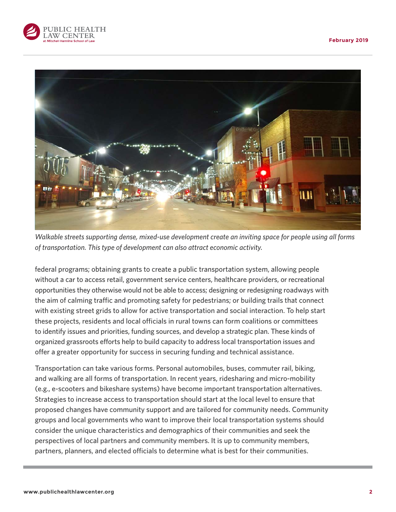



*Walkable streets supporting dense, mixed-use development create an inviting space for people using all forms of transportation. This type of development can also attract economic activity.*

federal programs; obtaining grants to create a public transportation system, allowing people without a car to access retail, government service centers, healthcare providers, or recreational opportunities they otherwise would not be able to access; designing or redesigning roadways with the aim of calming traffic and promoting safety for pedestrians; or building trails that connect with existing street grids to allow for active transportation and social interaction. To help start these projects, residents and local officials in rural towns can form coalitions or committees to identify issues and priorities, funding sources, and develop a strategic plan. These kinds of organized grassroots efforts help to build capacity to address local transportation issues and offer a greater opportunity for success in securing funding and technical assistance.

Transportation can take various forms. Personal automobiles, buses, commuter rail, biking, and walking are all forms of transportation. In recent years, ridesharing and micro-mobility (e.g., e-scooters and bikeshare systems) have become important transportation alternatives. Strategies to increase access to transportation should start at the local level to ensure that proposed changes have community support and are tailored for community needs. Community groups and local governments who want to improve their local transportation systems should consider the unique characteristics and demographics of their communities and seek the perspectives of local partners and community members. It is up to community members, partners, planners, and elected officials to determine what is best for their communities.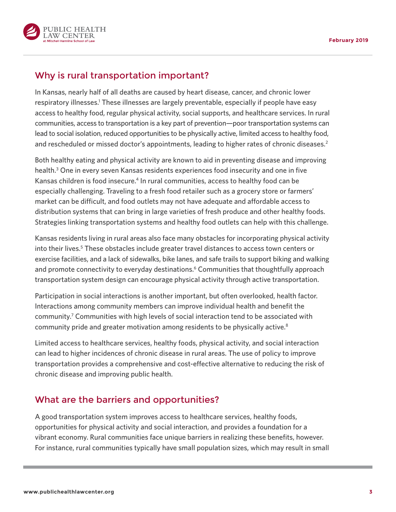



# Why is rural transportation important?

In Kansas, nearly half of all deaths are caused by heart disease, cancer, and chronic lower respiratory illnesses.<sup>1</sup> These illnesses are largely preventable, especially if people have easy access to healthy food, regular physical activity, social supports, and healthcare services. In rural communities, access to transportation is a key part of prevention—poor transportation systems can lead to social isolation, reduced opportunities to be physically active, limited access to healthy food, and rescheduled or missed doctor's appointments, leading to higher rates of chronic diseases.<sup>2</sup>

Both healthy eating and physical activity are known to aid in preventing disease and improving health.<sup>3</sup> One in every seven Kansas residents experiences food insecurity and one in five Kansas children is food insecure.<sup>4</sup> In rural communities, access to healthy food can be especially challenging. Traveling to a fresh food retailer such as a grocery store or farmers' market can be difficult, and food outlets may not have adequate and affordable access to distribution systems that can bring in large varieties of fresh produce and other healthy foods. Strategies linking transportation systems and healthy food outlets can help with this challenge.

Kansas residents living in rural areas also face many obstacles for incorporating physical activity into their lives.<sup>5</sup> These obstacles include greater travel distances to access town centers or exercise facilities, and a lack of sidewalks, bike lanes, and safe trails to support biking and walking and promote connectivity to everyday destinations.<sup>6</sup> Communities that thoughtfully approach transportation system design can encourage physical activity through active transportation.

Participation in social interactions is another important, but often overlooked, health factor. Interactions among community members can improve individual health and benefit the community.<sup>7</sup> Communities with high levels of social interaction tend to be associated with community pride and greater motivation among residents to be physically active.<sup>8</sup>

Limited access to healthcare services, healthy foods, physical activity, and social interaction can lead to higher incidences of chronic disease in rural areas. The use of policy to improve transportation provides a comprehensive and cost-effective alternative to reducing the risk of chronic disease and improving public health.

# What are the barriers and opportunities?

A good transportation system improves access to healthcare services, healthy foods, opportunities for physical activity and social interaction, and provides a foundation for a vibrant economy. Rural communities face unique barriers in realizing these benefits, however. For instance, rural communities typically have small population sizes, which may result in small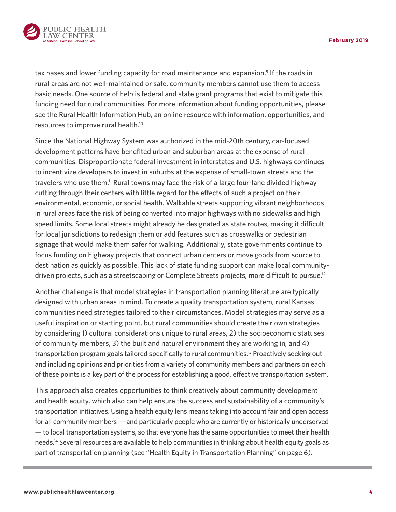

tax bases and lower funding capacity for road maintenance and expansion.<sup>9</sup> If the roads in rural areas are not well-maintained or safe, community members cannot use them to access basic needs. One source of help is federal and state grant programs that exist to mitigate this funding need for rural communities. For more information about funding opportunities, please see the Rural Health Information Hub, an online resource with information, opportunities, and resources to improve rural health.10

Since the National Highway System was authorized in the mid-20th century, car-focused development patterns have benefited urban and suburban areas at the expense of rural communities. Disproportionate federal investment in interstates and U.S. highways continues to incentivize developers to invest in suburbs at the expense of small-town streets and the travelers who use them.<sup>11</sup> Rural towns may face the risk of a large four-lane divided highway cutting through their centers with little regard for the effects of such a project on their environmental, economic, or social health. Walkable streets supporting vibrant neighborhoods in rural areas face the risk of being converted into major highways with no sidewalks and high speed limits. Some local streets might already be designated as state routes, making it difficult for local jurisdictions to redesign them or add features such as crosswalks or pedestrian signage that would make them safer for walking. Additionally, state governments continue to focus funding on highway projects that connect urban centers or move goods from source to destination as quickly as possible. This lack of state funding support can make local communitydriven projects, such as a streetscaping or Complete Streets projects, more difficult to pursue.<sup>12</sup>

Another challenge is that model strategies in transportation planning literature are typically designed with urban areas in mind. To create a quality transportation system, rural Kansas communities need strategies tailored to their circumstances. Model strategies may serve as a useful inspiration or starting point, but rural communities should create their own strategies by considering 1) cultural considerations unique to rural areas, 2) the socioeconomic statuses of community members, 3) the built and natural environment they are working in, and 4) transportation program goals tailored specifically to rural communities.13 Proactively seeking out and including opinions and priorities from a variety of community members and partners on each of these points is a key part of the process for establishing a good, effective transportation system.

This approach also creates opportunities to think creatively about community development and health equity, which also can help ensure the success and sustainability of a community's transportation initiatives. Using a health equity lens means taking into account fair and open access for all community members — and particularly people who are currently or historically underserved — to local transportation systems, so that everyone has the same opportunities to meet their health needs.14 Several resources are available to help communities in thinking about health equity goals as part of transportation planning (see ["Health Equity in Transportation Planning" on page 6](#page-5-0)).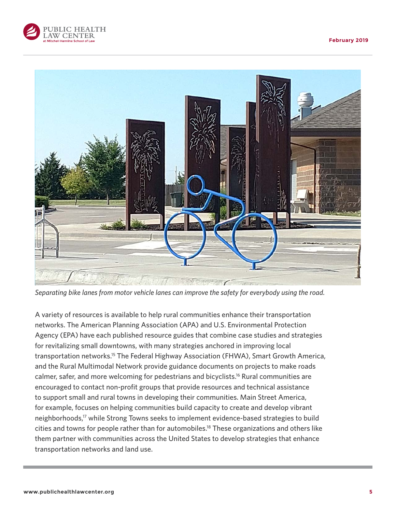



*Separating bike lanes from motor vehicle lanes can improve the safety for everybody using the road.*

A variety of resources is available to help rural communities enhance their transportation networks. The American Planning Association (APA) and U.S. Environmental Protection Agency (EPA) have each published resource guides that combine case studies and strategies for revitalizing small downtowns, with many strategies anchored in improving local transportation networks.15 The Federal Highway Association (FHWA), Smart Growth America, and the Rural Multimodal Network provide guidance documents on projects to make roads calmer, safer, and more welcoming for pedestrians and bicyclists.16 Rural communities are encouraged to contact non-profit groups that provide resources and technical assistance to support small and rural towns in developing their communities. Main Street America, for example, focuses on helping communities build capacity to create and develop vibrant neighborhoods,17 while Strong Towns seeks to implement evidence-based strategies to build cities and towns for people rather than for automobiles.<sup>18</sup> These organizations and others like them partner with communities across the United States to develop strategies that enhance transportation networks and land use.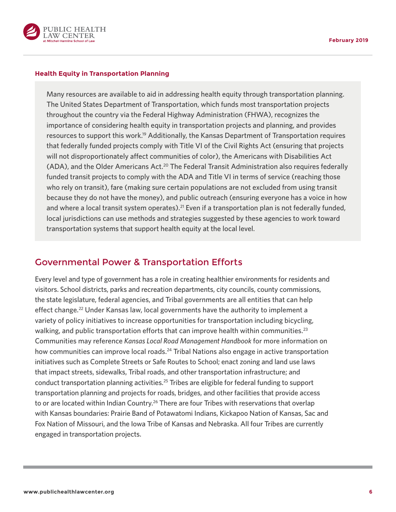

#### <span id="page-5-0"></span>**Health Equity in Transportation Planning**

Many resources are available to aid in addressing health equity through transportation planning. The United States Department of Transportation, which funds most transportation projects throughout the country via the Federal Highway Administration (FHWA), recognizes the importance of considering health equity in transportation projects and planning, and provides resources to support this work.<sup>19</sup> Additionally, the Kansas Department of Transportation requires that federally funded projects comply with Title VI of the Civil Rights Act (ensuring that projects will not disproportionately affect communities of color), the Americans with Disabilities Act (ADA), and the Older Americans Act.20 The Federal Transit Administration also requires federally funded transit projects to comply with the ADA and Title VI in terms of service (reaching those who rely on transit), fare (making sure certain populations are not excluded from using transit because they do not have the money), and public outreach (ensuring everyone has a voice in how and where a local transit system operates).<sup>21</sup> Even if a transportation plan is not federally funded, local jurisdictions can use methods and strategies suggested by these agencies to work toward transportation systems that support health equity at the local level.

### Governmental Power & Transportation Efforts

Every level and type of government has a role in creating healthier environments for residents and visitors. School districts, parks and recreation departments, city councils, county commissions, the state legislature, federal agencies, and Tribal governments are all entities that can help effect change.<sup>22</sup> Under Kansas law, local governments have the authority to implement a variety of policy initiatives to increase opportunities for transportation including bicycling, walking, and public transportation efforts that can improve health within communities.<sup>23</sup> Communities may reference *Kansas Local Road Management Handbook* for more information on how communities can improve local roads.<sup>24</sup> Tribal Nations also engage in active transportation initiatives such as Complete Streets or Safe Routes to School; enact zoning and land use laws that impact streets, sidewalks, Tribal roads, and other transportation infrastructure; and conduct transportation planning activities.<sup>25</sup> Tribes are eligible for federal funding to support transportation planning and projects for roads, bridges, and other facilities that provide access to or are located within Indian Country.<sup>26</sup> There are four Tribes with reservations that overlap with Kansas boundaries: Prairie Band of Potawatomi Indians, Kickapoo Nation of Kansas, Sac and Fox Nation of Missouri, and the Iowa Tribe of Kansas and Nebraska. All four Tribes are currently engaged in transportation projects.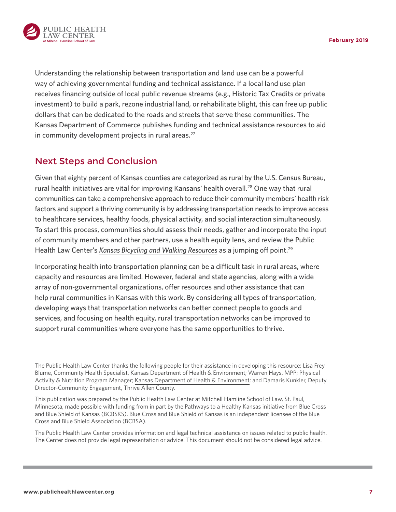

Understanding the relationship between transportation and land use can be a powerful way of achieving governmental funding and technical assistance. If a local land use plan receives financing outside of local public revenue streams (e.g., Historic Tax Credits or private investment) to build a park, rezone industrial land, or rehabilitate blight, this can free up public dollars that can be dedicated to the roads and streets that serve these communities. The Kansas Department of Commerce publishes funding and technical assistance resources to aid in community development projects in rural areas.<sup>27</sup>

## Next Steps and Conclusion

Given that eighty percent of Kansas counties are categorized as rural by the U.S. Census Bureau, rural health initiatives are vital for improving Kansans' health overall.28 One way that rural communities can take a comprehensive approach to reduce their community members' health risk factors and support a thriving community is by addressing transportation needs to improve access to healthcare services, healthy foods, physical activity, and social interaction simultaneously. To start this process, communities should assess their needs, gather and incorporate the input of community members and other partners, use a health equity lens, and review the Public Health Law Center's *[Kansas Bicycling and Walking Resources](https://www.publichealthlawcenter.org/resources/kansas-bicycling-and-walking-resources)* as a jumping off point.29

Incorporating health into transportation planning can be a difficult task in rural areas, where capacity and resources are limited. However, federal and state agencies, along with a wide array of non-governmental organizations, offer resources and other assistance that can help rural communities in Kansas with this work. By considering all types of transportation, developing ways that transportation networks can better connect people to goods and services, and focusing on health equity, rural transportation networks can be improved to support rural communities where everyone has the same opportunities to thrive.

The Public Health Law Center thanks the following people for their assistance in developing this resource: Lisa Frey Blume, Community Health Specialist, [Kansas Department of Health & Environment](http://www.kdheks.gov/tobacco/); Warren Hays, MPP; Physical Activity & Nutrition Program Manager; [Kansas Department of Health & Environment](http://www.kdheks.gov/tobacco/); and Damaris Kunkler, Deputy Director-Community Engagement, Thrive Allen County.

This publication was prepared by the Public Health Law Center at Mitchell Hamline School of Law, St. Paul, Minnesota, made possible with funding from in part by the Pathways to a Healthy Kansas initiative from Blue Cross and Blue Shield of Kansas (BCBSKS). Blue Cross and Blue Shield of Kansas is an independent licensee of the Blue Cross and Blue Shield Association (BCBSA).

The Public Health Law Center provides information and legal technical assistance on issues related to public health. The Center does not provide legal representation or advice. This document should not be considered legal advice.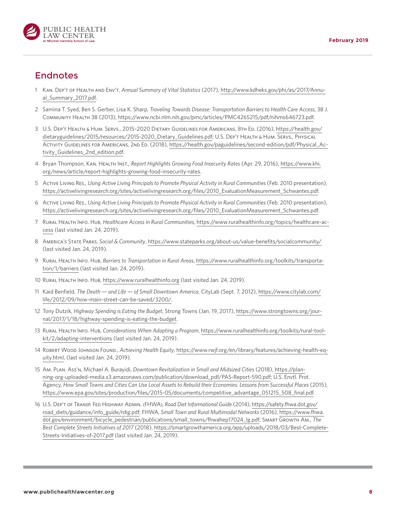

## Endnotes

- 1 Kan. Dep't of Health and Env't, *Annual Summary of Vital Statistics* (2017), [http://www.kdheks.gov/phi/as/2017/Annu](http://www.kdheks.gov/phi/as/2017/Annual_Summary_2017.pdf)[al\\_Summary\\_2017.pdf](http://www.kdheks.gov/phi/as/2017/Annual_Summary_2017.pdf).
- 2 Samina T. Syed, Ben S. Gerber, Lisa K. Sharp, *Traveling Towards Disease: Transportation Barriers to Health Care Access*, 38 J. Community Health 38 (2013), [https://www.ncbi.nlm.nih.gov/pmc/articles/PMC4265215/pdf/nihms646723.pdf.](https://www.ncbi.nlm.nih.gov/pmc/articles/PMC4265215/pdf/nihms646723.pdf)
- 3 U.S. Dep't Health & Hum. Servs., 2015–2020 Dietary Guidelines for Americans, 8th Ed. (2016), [https://health.gov/](https://health.gov/dietaryguidelines/2015/resources/2015-2020_Dietary_Guidelines.pdf) [dietaryguidelines/2015/resources/2015-2020\\_Dietary\\_Guidelines.pdf;](https://health.gov/dietaryguidelines/2015/resources/2015-2020_Dietary_Guidelines.pdf) U.S. Dep't Health & Hum. Servs., Physical Activity Guidelines for Americans, 2nd Ed. (2018), [https://health.gov/paguidelines/second-edition/pdf/Physical\\_Ac](https://health.gov/paguidelines/second-edition/pdf/Physical_Activity_Guidelines_2nd_edition.pdf)[tivity\\_Guidelines\\_2nd\\_edition.pdf.](https://health.gov/paguidelines/second-edition/pdf/Physical_Activity_Guidelines_2nd_edition.pdf)
- 4 Bryan Thompson, Kan. Health Inst., *Report Highlights Growing Food Insecurity Rates* (Apr. 29, 2016), [https://www.khi.](https://www.khi.org/news/article/report-highlights-growing-food-insecurity-rates) [org/news/article/report-highlights-growing-food-insecurity-rates.](https://www.khi.org/news/article/report-highlights-growing-food-insecurity-rates)
- 5 Active Living Res., *Using Active Living Principals to Promote Physical Activity in Rural Communities* (Feb. 2010 presentation), [https://activelivingresearch.org/sites/activelivingresearch.org/files/2010\\_EvaluationMeasurement\\_Schwantes.pdf](https://activelivingresearch.org/sites/activelivingresearch.org/files/2010_EvaluationMeasurement_Schwantes.pdf).
- 6 Active Living Res., *Using Active Living Principals to Promote Physical Activity in Rural Communities* (Feb. 2010 presentation), [https://activelivingresearch.org/sites/activelivingresearch.org/files/2010\\_EvaluationMeasurement\\_Schwantes.pdf](https://activelivingresearch.org/sites/activelivingresearch.org/files/2010_EvaluationMeasurement_Schwantes.pdf).
- 7 Rural Health Info. Hub, *Healthcare Access in Rural Communities*, [https://www.ruralhealthinfo.org/topics/healthcare-ac](https://www.ruralhealthinfo.org/topics/healthcare-access)[cess](https://www.ruralhealthinfo.org/topics/healthcare-access) (last visited Jan. 24, 2019).
- 8 America's State Parks, *Social & Community*, <https://www.stateparks.org/about-us/value-benefits/socialcommunity/> (last visited Jan. 24, 2019).
- 9 Rural Health Info. Hub, *Barriers to Transportation in Rural Areas*, [https://www.ruralhealthinfo.org/toolkits/transporta](https://www.ruralhealthinfo.org/toolkits/transportation/1/barriers)[tion/1/barriers](https://www.ruralhealthinfo.org/toolkits/transportation/1/barriers) (last visited Jan. 24, 2019).
- 10 Rural Health Info. Hub,<https://www.ruralhealthinfo.org> (last visited Jan. 24, 2019).
- 11 Kaid Benfield, *The Death and Life of Small Downtown America*, CityLab (Sept. 7, 2012), [https://www.citylab.com/](https://www.citylab.com/life/2012/09/how-main-street-can-be-saved/3200/) [life/2012/09/how-main-street-can-be-saved/3200/](https://www.citylab.com/life/2012/09/how-main-street-can-be-saved/3200/).
- 12 Tony Dutzik, *Highway Spending is Eating the Budget*, Strong Towns (Jan. 19, 2017), [https://www.strongtowns.org/jour](https://www.strongtowns.org/journal/2017/1/18/highway-spending-is-eating-the-budget)[nal/2017/1/18/highway-spending-is-eating-the-budget.](https://www.strongtowns.org/journal/2017/1/18/highway-spending-is-eating-the-budget)
- 13 Rural Health Info. Hub, *Considerations When Adapting a Program*, [https://www.ruralhealthinfo.org/toolkits/rural-tool](https://www.ruralhealthinfo.org/toolkits/rural-toolkit/2/adapting-interventions)[kit/2/adapting-interventions](https://www.ruralhealthinfo.org/toolkits/rural-toolkit/2/adapting-interventions) (last visited Jan. 24, 2019).
- 14 Robert Wood Johnson Found., *Achieving Health Equity*, [https://www.rwjf.org/en/library/features/achieving-health-eq](https://www.rwjf.org/en/library/features/achieving-health-equity.html)[uity.html,](https://www.rwjf.org/en/library/features/achieving-health-equity.html) (last visited Jan. 24, 2019).
- 15 Am. Plan. Ass'n, Michael A. Burayidi, *Downtown Revitalization in Small and Midsized Cities* (2018), [https://plan](https://planning-org-uploaded-media.s3.amazonaws.com/publication/download_pdf/PAS-Report-590.pdf)[ning-org-uploaded-media.s3.amazonaws.com/publication/download\\_pdf/PAS-Report-590.pdf;](https://planning-org-uploaded-media.s3.amazonaws.com/publication/download_pdf/PAS-Report-590.pdf) U.S. Envtl. Prot. Agency, *How Small Towns and Cities Can Use Local Assets to Rebuild their Economies: Lessons from Successful Places* (2015), [https://www.epa.gov/sites/production/files/2015-05/documents/competitive\\_advantage\\_051215\\_508\\_final.pdf](https://www.epa.gov/sites/production/files/2015-05/documents/competitive_advantage_051215_508_final.pdf).
- 16 U.S. Dep't of Transp. Fed Highway Admin. (FHWA), *Road Diet Informational Guide* (2014), [https://safety.fhwa.dot.gov/](https://safety.fhwa.dot.gov/road_diets/guidance/info_guide/rdig.pdf) [road\\_diets/guidance/info\\_guide/rdig.pdf;](https://safety.fhwa.dot.gov/road_diets/guidance/info_guide/rdig.pdf) FHWA, *Small Town and Rural Multimodal Networks* (2016), [https://www.fhwa.](https://www.fhwa.dot.gov/environment/bicycle_pedestrian/publications/small_towns/fhwahep17024_lg.pdf) [dot.gov/environment/bicycle\\_pedestrian/publications/small\\_towns/fhwahep17024\\_lg.pdf](https://www.fhwa.dot.gov/environment/bicycle_pedestrian/publications/small_towns/fhwahep17024_lg.pdf); Smart Growth Am., *The Best Complete Streets Initiatives of 2017* (2018), [https://smartgrowthamerica.org/app/uploads/2018/03/Best-Complete-](https://smartgrowthamerica.org/app/uploads/2018/03/Best-Complete-Streets-Initiatives-of-2017.pdf)[Streets-Initiatives-of-2017.pdf](https://smartgrowthamerica.org/app/uploads/2018/03/Best-Complete-Streets-Initiatives-of-2017.pdf) (last visited Jan. 24, 2019).